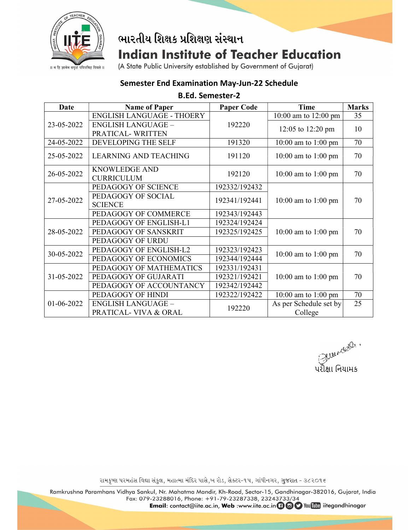

# ભારતીય શિક્ષક પ્રશિક્ષણ સંસ્થાન **Indian Institute of Teacher Education**

॥ न हि ज्ञानेन सदृशं पवित्रमिह विद्यते ॥

### (A State Public University established by Government of Gujarat)

## Semester End Examination May-Jun-22 Schedule

#### B.Ed. Semester-2

| Date       | <b>Name of Paper</b>                      | <b>Paper Code</b> | Time                     | <b>Marks</b> |
|------------|-------------------------------------------|-------------------|--------------------------|--------------|
| 23-05-2022 | <b>ENGLISH LANGUAGE - THOERY</b>          | 192220            | $10:00$ am to $12:00$ pm | 35           |
|            | <b>ENGLISH LANGUAGE -</b>                 |                   | 12:05 to 12:20 pm        | 10           |
|            | PRATICAL-WRITTEN                          |                   |                          |              |
| 24-05-2022 | DEVELOPING THE SELF                       | 191320            | $10:00$ am to $1:00$ pm  | 70           |
| 25-05-2022 | <b>LEARNING AND TEACHING</b>              | 191120            | 10:00 am to 1:00 pm      | 70           |
| 26-05-2022 | <b>KNOWLEDGE AND</b><br><b>CURRICULUM</b> | 192120            | 10:00 am to 1:00 pm      | 70           |
| 27-05-2022 | PEDAGOGY OF SCIENCE                       | 192332/192432     | $10:00$ am to $1:00$ pm  | 70           |
|            | PEDAGOGY OF SOCIAL<br><b>SCIENCE</b>      | 192341/192441     |                          |              |
|            | PEDAGOGY OF COMMERCE                      | 192343/192443     |                          |              |
| 28-05-2022 | PEDAGOGY OF ENGLISH-L1                    | 192324/192424     | 10:00 am to 1:00 pm      | 70           |
|            | PEDAGOGY OF SANSKRIT                      | 192325/192425     |                          |              |
|            | PEDAGOGY OF URDU                          |                   |                          |              |
| 30-05-2022 | PEDAGOGY OF ENGLISH-L2                    | 192323/192423     | $10:00$ am to $1:00$ pm  | 70           |
|            | PEDAGOGY OF ECONOMICS                     | 192344/192444     |                          |              |
| 31-05-2022 | PEDAGOGY OF MATHEMATICS                   | 192331/192431     | $10:00$ am to $1:00$ pm  | 70           |
|            | PEDAGOGY OF GUJARATI                      | 192321/192421     |                          |              |
|            | PEDAGOGY OF ACCOUNTANCY                   | 192342/192442     |                          |              |
| 01-06-2022 | PEDAGOGY OF HINDI                         | 192322/192422     | $10:00$ am to $1:00$ pm  | 70           |
|            | <b>ENGLISH LANGUAGE -</b>                 | 192220            | As per Schedule set by   | 25           |
|            | PRATICAL- VIVA & ORAL                     |                   | College                  |              |

ુ<br>પરીક્ષા નિયામક<br>પરીક્ષા નિયામક

રામકૃષ્ણ પરમહંસ વિદ્યા સંકુલ, મહાત્મા મંદિર પાસે,ખ રોડ, સેક્ટર-૧૫, ગાંધીનગર, ગુજરાત - ૩૮૨૦૧૬

Ramkrushna Paramhans Vidhya Sankul, Nr. Mahatma Mandir, Kh-Road, Sector-15, Gandhinagar-382016, Gujarat, India Fax: 079-23288016, Phone: +91-79-23287338, 23243733/34

Email: contact@iite.ac.in, Web :www.iite.ac.in + @ O You Tube iitegandhinagar